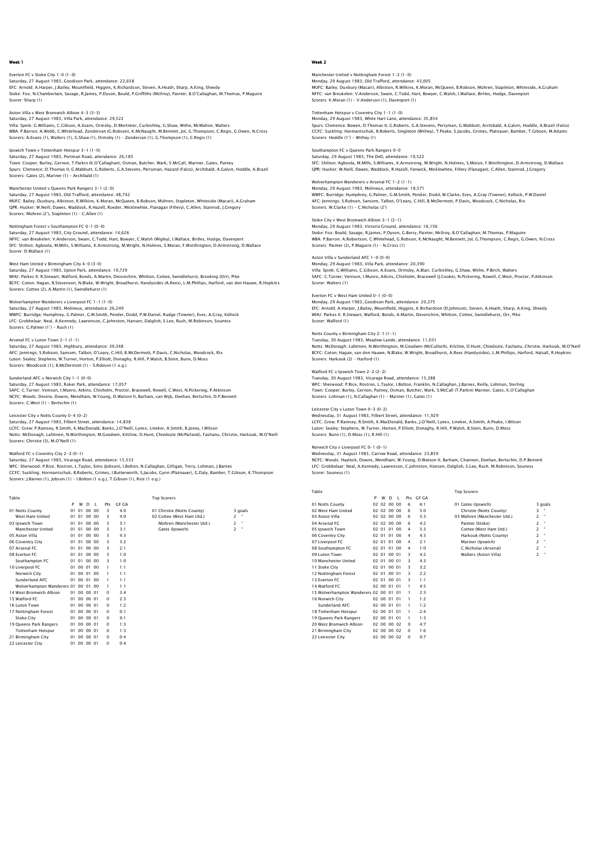Everton FC v Stoke City 1-0 (1-0) Saturday, 27 August 1983, Goodison Park, attendance: 22,658 EFC: Arnold; A.Harper, J.Bailey, Mountfield, Higgins, K.Richardson, Steven, A.Heath, Sharp, A.King, Sheedy Stoke: Fox; N.Chamberlain, Savage, R.James, P.Dyson, Bould, P.Griffiths (McIlroy), Painter, B.O'Callaghan, M.Thomas, P.Maguire Scorer: Sharp (1)

Aston Villa v West Bromwich Albion 4-3 (3-3) Saturday, 27 August 1983, Villa Park, attendance: 29,522 Villa: Spink; G.Williams, C.Gibson, A.Evans, Ormsby, D.Mortimer, Curbishley, G.Shaw, Withe, McMahon, Walters WBA: P.Barron; A.Webb, C.Whitehead, Zondervan (G.Robson), K.McNaught, M.Bennett, Jol, G.Thompson, C.Regis, G.Owen, N.Cross Scorers: A.Evans (1), Walters (1), G.Shaw (1), Ormsby (1) – Zondervan (1), G.Thompson (1), C.Regis (1)

# Ipswich Town v Tottenham Hotspur 3-1 (1-0)

Saturday, 27 August 1983, Portman Road, attendance: 26,185<br>Town: Cooper; Burley, Gernon, T.Parkin (K.O'Callaghan), Osman, Butcher, Wark, S.McCall, Mariner, Gates, Putney<br>Spurs: Clemence; D.Thomas II, C.Mabbutt, G.Roberts,

Manchester United v Queens Park Rangers 3-1 (2-0) Saturday, 27 August 1983, Old Trafford, attendance: 48,742

MUFC: Bailey; Duxbury, Albiston, R.Wilkins, K.Moran, McQueen, B.Robson, Mühren, Stapleton, Whiteside (Macari), A.Graham<br>QPR: Hucker; W.Neill, Dawes, Waddock, R.Hazell, Roeder, Micklewhite, Flanagan (Fillery), C.Allen, Stai

Nottingham Forest v Southampton FC 0-1 (0-0) Saturday, 27 August 1983, City Ground, attendance: 14,626<br>NFFC: van Breukelen; V.Anderson, Swain, C.Todd, Hart, Bowyer, C.Walsh (Wigley), I.Wallace, Birtles, Hodge, Davenport<br>SFC: Shilton; Aqboola, M.Mills, S.Williams, K.A Scorer: D.Wallace (1)

## West Ham United v Birmingham City 4-0 (3-0) Saturday, 27 August 1983, Upton Park, attendance: 19,729<br>WHU: Parkes II; R.Stewart, Walford, Bonds, A.Martin, Devonshire, Whitton, Cottee, Swindlehurst, Brooking (Orr), Pike<br>BCFC: Coton; Hagan, B.Stevenson, N.Blake, W.Wrig Scorers: Cottee (2), A.Martin (1), Swindlehurst (1)

Wolverhampton Wanderers v Liverpool FC 1–1 (1–0)<br>Saturday, 27 August 1983, Molineux, attendance: 26,249<br>WWFC: Burridge; Humphrey, G.Palmer, G.M.Smith, Pender, Dodd, P.W.Daniel, Rudge (Towner), Eves, A.Gray, Kellock<br>LFC: Gr Scorers: G.Palmer (1') - Rush (1)

Arsenal FC v Luton Town 2-1 (1-1) Saturday, 27 August 1983, Highbury, attendance: 39,348 AFC: Jennings; S.Robson, Sansom, Talbot, O'Leary, C.Hill, B.McDermott, P.Davis, C.Nicholas, Woodcock, Rix Luton: Sealey; Stephens, W.Turner, Horton, P.Elliott, Donaghy, R.Hill, P.Walsh, B.Stein, Bunn, D.Moss Scorers: Woodcock (1), B.McDermott (1) – S.Robson (1 o.g.)

## underland AFC v Norwich City 1-1 (0-0)

Saturday, 27 August 1983, Roker Park, attendance: 17,057 SAFC: C.Turner; Venison, I.Munro, Atkins, Chisholm, Proctor, Bracewell, Rowell, C.West, N.Pickering, P.Atkinson NCFC: Woods; Devine, Downs, Mendham, W.Young, D.Watson II, Barham, van Wijk, Deehan, Bertschin, D.P.Bennett Scorers: C.West (1) - Bertschin (1)

#### Leicester City v Notts County 0-4 (0-2)

Saturday, 27 August 1983, Filbert Street, attendance: 14,838 LCFC: Grew; P.Ramsey, R.Smith, K.MacDonald, Banks, J.O'Neill, Lynex, Lineker, A.Smith, R.Jones, I.Wilson Notts: McDonagh; Lahtinen, N.Worthington, M.Goodwin, Kilcline, D.Hunt, Chiedozie (McParland), Fashanu, Christie, Harkouk, M.O'Neill Scorers: Christie (3), M.O'Neill (1)

#### Watford FC v Coventry City 2-3 (0-1) Saturday, 27 August 1983, Vicarage Road, attendance: 15,533

WFC: Sherwood: P.Rice, Rostron, L.Taylor, Sims (Jobson), I.Bolton, N.Callaghan, Gilligan, Terry, Lohman, J.Barnes<br>CCFC: Suckling: Hormantschuk, B.Roberts, Grimes, I.Butterworth, S.Jacobs, Gynn (Platnauer), G.Daly, Bamber,

Table Table Top Scorers

| 1001c                      |         |             |       |                |          |              | <b>I OP SCOLETS</b>        |   |         |
|----------------------------|---------|-------------|-------|----------------|----------|--------------|----------------------------|---|---------|
|                            | P       | W           | D     | - 1            | Pts      | <b>GF GA</b> |                            |   |         |
| 01 Notts County            | 01      | 01          | 00,00 |                | 3        | 4.0          | 01 Christie (Notts County) |   | 3 goals |
| West Ham United            |         | 01 01 00 00 |       |                | 3        | 4:0          | 02 Cottee (West Ham Utd.)  | 2 |         |
| 03 Ipswich Town            | $_{01}$ | 01          | 00,00 |                | 3        | 3:1          | Mühren (Manchester Utd.)   | 2 | ٠       |
| Manchester United          | 01      | 01          | 00,00 |                | 3        | 3:1          | Gates (Ipswich)            | 2 | ٠       |
| 05 Aston Villa             | 01      | 01          | 00,00 |                | 3        | 4:3          |                            |   |         |
| 06 Coventry City           | 01      | 01          | 0000  |                | 3        | 3:2          |                            |   |         |
| 07 Arsenal FC              |         | 01 01 00 00 |       |                | 3        | 2:1          |                            |   |         |
| 08 Everton FC              | 01      | 01          | 0000  |                | 3        | 1.0          |                            |   |         |
| Southampton FC             | 01      | 01          | 0000  |                | 3        | 1:0          |                            |   |         |
| 10 Liverpool FC            | 01      | 00 01       |       | 00             | ı        | $1 - 1$      |                            |   |         |
| Norwich City               | 01      | 0001        |       | 0 <sub>0</sub> |          | $1 - 1$      |                            |   |         |
| Sunderland AFC             | 01      | 00 01       |       | - 00           | ı        | 1:1          |                            |   |         |
| Wolverhampton Wanderers 01 |         | 00 01       |       | 00             | ı        | $1 - 1$      |                            |   |         |
| 14 West Bromwich Albion    |         | 01 00 00 01 |       |                | $\Omega$ | $3 - 4$      |                            |   |         |
| 15 Watford FC              | 01      | 00 00 01    |       |                | $\Omega$ | 2:3          |                            |   |         |
| 16 Luton Town              | 01      | 00 00 01    |       |                | $\Omega$ | 1:2          |                            |   |         |
| 17 Nottingham Forest       | 01      | 00 00 01    |       |                | $\Omega$ | 0:1          |                            |   |         |
| <b>Stoke City</b>          | 01      | 00 00 01    |       |                | $\Omega$ | 0:1          |                            |   |         |
| 19 Queens Park Rangers     | 01      | 00 00 01    |       |                | $\Omega$ | 1:3          |                            |   |         |
| <b>Tottenham Hotspur</b>   |         | 01 00 00 01 |       |                | $\Omega$ | 1:3          |                            |   |         |
| 21 Birmingham City         | 01      | 00 00 01    |       |                | $\Omega$ | 0.4          |                            |   |         |
| 22 Leicester City          | 01      | 00 00 01    |       |                | $\Omega$ | 0:4          |                            |   |         |

## Week 2

Manchester United v Nottingham Forest 1–2 (1–0)<br>Monday, 29 August 1983, Old Trafford, attendance: 43,005<br>MUFC: Bailey: Duxbury (Macari), Albiston, R.Wilkins, K.Moran, McQueen, B.Robson, Mühren, Stapleton, Whiteside, A.Grah NFFC: van Breukelen; V.Anderson, Swain, C.Todd, Hart, Bowyer, C.Walsh, I.Wallace, Birtles, Hodge, Davenport Scorers: K.Moran (1) – V.Anderson (1), Davenport (1)

Tottenham Hotspur v Coventry City 1-1 (1-0) Monday, 29 August 1983, White Hart Lane, attendance: 35,854

Spurs: Clemence; Bowen, D.Thomas II, G.Roberts, G.A.Stevens, Perryman, G.Mabbutt, Archibald, A.Galvin, Hoddle, A.Brazil (Falco)<br>CCFC: Suckling; Hormantschuk, B.Roberts, Singleton (Withey), T.Peake, S.Jacobs, Grimes, Platna Scorers: Hoddle (1') - Withey (1)

## Southampton FC v Queens Park Rangers 0-0

Saturday, 29 August 1983, The Dell, attendance: 19,522<br>SFC: Shilton; Agboola, M.Mills, S.Williams, K.Armstrong, M.Wright, N.Holmes, S.Moran, F.Worthington, D.Armstrong, D.Wallace<br>QPR: Hucker; W.Neill, Dawes, Waddock, R.Haz

## Wolverhampton Wanderers v Arsenal FC 1-2 (1-1)

Monday, 29 August 1983, Molineux, attendance: 18,571<br>WWFC: Burridge; Humphrey, G.Palmer, G.M.Smith, Pender, Dodd, W.Clarke, Eves, A.Gray (Towner), Kellock, P.W.Danie<br>AFC: Jennings; S.Robson, Sansom, Talbot, O'Leary, C.Hill Scorers: W.Clarke (1) - C.Nicholas (2')

## Stoke City v West Bromwich Albion 3-1 (2-1)

Monday, 29 August 1983, Victoria Ground, attendance: 16,156<br>Stoke: Fox; Bould, Savage, R.James, P.Dyson, G.Berry, Painter, McIlroy, B.O'Callaghan, M.Thomas, P.Maguire<br>WBA: P.Barron; A.Robertson, C.Whitehead, G.Robson, K.Mc

#### Aston Villa v Sunderland AFC 1-0 (0-0)

Monday, 29 August 1983, Villa Park, attendance: 20,390 Villa: Spink; G.Williams, C.Gibson, A.Evans, Ormsby, A.Blair, Curbishley, G.Shaw, Withe, P.Birch, Walters<br>SAFC: C.Turner; Venison, I.Munro, Atkins, Chisholm, Bracewell (J.Cooke), N.Pickering, Rowell, C.West, Proctor, P.Atk Scorer: Walters (1)

#### Everton FC v West Ham United 0-1 (0-0)

Monday, 29 August 1983, Goodison Park, attendance: 20,375 EFC: Arnold; A.Harper, J.Bailey, Mountfield, Higgins, K.Richardson (D.Johnson), Steven, A.Heath, Sharp, A.King, Sheedy WHU: Parkes II; R.Stewart, Walford, Bonds, A.Martin, Devonshire, Whitton, Cottee, Swindlehurst, Orr, Pike Scorer: Walford (1)

## Notts County v Birmingham City 2-1 (1-1)

Tuesday, 30 August 1983, Meadow Lande, attendance: 11,031 Notts: McDonagh; Lahtinen, N.Worthington, M.Goodwin (McCulloch), Kilcline, D.Hunt, Chiedozie, Fashanu, Christie, Harkouk, M.O'Neill BCFC: Coton; Hagan, van den Hauwe, N.Blake, W.Wright, Broadhurst, A.Rees (Handysides), L.M.Phillips, Harford, Halsall, R.Hopkins Scorers: Harkouk (2) - Harford (1)

Watford FC v Ipswich Town 2–2 (2–2)<br>Tuesday, 30 August 1983, Vicarage Road, attendance: 15,388<br>WFC: Sherwood; P.Rice, Rostron, L.Taylor, I.Bolton, Franklin, N.Callaghan, J.Barnes, Reilly, Lohman, Sterling<br>Town: Cooper; Bur

Leicester City v Luton Town 0-3 (0-2)<br>Wednesday, 31 August 1983, Filbert Street, attendance: 11,929<br>LCFC: Grew; P.Ramsey, R.Smith, K.MacDonald, Banks, J.O'Neill, Lynex, Lineker, A.Smith, A.Peake, I.Wilsor Luton: Sealey; Stephens, W.Turner, Horton, P.Elliott, Donaghy, R.Hill, P.Walsh, B.Stein, Bunn, D.Moss Scorers: Bunn (1), D.Moss (1), R.Hill (1)

## Norwich City v Liverpool FC 0-1 (0-1)

Wednesday, 31 August 1983, Carrow Road, attendance: 23,859 NCFC: Woods; Haylock, Downs, Mendham, W.Young, D.Watson II, Barham, Channon, Deehan, Bertschin, D.P.Bennett LFC: Grobbelaar; Neal, A.Kennedy, Lawrenson, C.Johnston, Hansen, Dalglish, S.Lee, Rush, M.Robinson, Souness Scorer: Souness (1)

Top Scorers

| `abl |  |
|------|--|

21 Birmingham City<br>22 Leicester City

|                                        | P | W           | D  | J.          | Pts        | <b>GF GA</b> |                             |                |         |
|----------------------------------------|---|-------------|----|-------------|------------|--------------|-----------------------------|----------------|---------|
| 01 Notts County                        |   | 02 02 00 00 |    |             | 6          | 6:1          | 01 Gates (Ipswich)          |                | 3 goals |
| 02 West Ham United                     |   | 02 02 00 00 |    |             | 6          | 5:0          | Christie (Notts County)     | 3              |         |
| 03 Aston Villa                         |   | 02 02 00 00 |    |             | 6          | 5:3          | 03 Mühren (Manchester Utd.) | 2              |         |
| 04 Arsenal FC                          |   | 02 02 00 00 |    |             | 6          | 4:2          | Painter (Stoke)             | $\overline{2}$ | ٠       |
| 05 Ipswich Town                        |   | 02 01 01 00 |    |             | 4          | 5:3          | Cottee (West Ham Utd.)      | $\mathcal{P}$  | ٠       |
| 06 Coventry City                       |   | 02 01       | 01 | 00          | 4          | 4:3          | Harkouk (Notts County)      | $\mathcal{P}$  | ٠       |
| 07 Liverpool FC                        |   | 02 01 01    |    | 00          | 4          | 2:1          | Mariner (Ipswich)           | $\overline{c}$ |         |
| 08 Southampton FC                      |   | 02 01 01    |    | $00\,$      | 4          | 1:0          | C.Nicholas (Arsenal)        | $\overline{2}$ | ٠       |
| 09 Luton Town                          |   | 02 01 00 01 |    |             | З          | 4:2          | Walters (Aston Villa)       | $\overline{2}$ |         |
| 10 Manchester United                   |   | 02 01 00 01 |    |             | З          | 4:3          |                             |                |         |
| 11 Stoke City                          |   | 02 01 00 01 |    |             | 3          | 3:2          |                             |                |         |
| 12 Nottingham Forest                   |   | 02 01 00 01 |    |             | З          | 2:2          |                             |                |         |
| 13 Everton FC                          |   | 02 01 00 01 |    |             | 3          | 1:1          |                             |                |         |
| 14 Watford FC                          |   | 02 00 01 01 |    |             | ı          | 4:5          |                             |                |         |
| 15 Wolverhampton Wanderers 02 00 01 01 |   |             |    |             | ı          | 2:3          |                             |                |         |
| 16 Norwich City                        |   | 02 00 01 01 |    |             | ı          | 1.2          |                             |                |         |
| Sunderland AFC                         |   | 02 00 01    |    | $^{\Omega}$ | ı          | 1:2          |                             |                |         |
| 18 Tottenham Hotspur                   |   | 02 00 01 01 |    |             | ı          | 2:4          |                             |                |         |
| 19 Queens Park Rangers                 |   | 02 00 01    |    | $^{\circ}$  | ı          | 1:3          |                             |                |         |
| 20 West Bromwich Albion                |   | 02 00 00 02 |    |             | $^{\circ}$ | 4:7          |                             |                |         |

 $02 00 00 02 0$ <br> $02 00 00 02 0$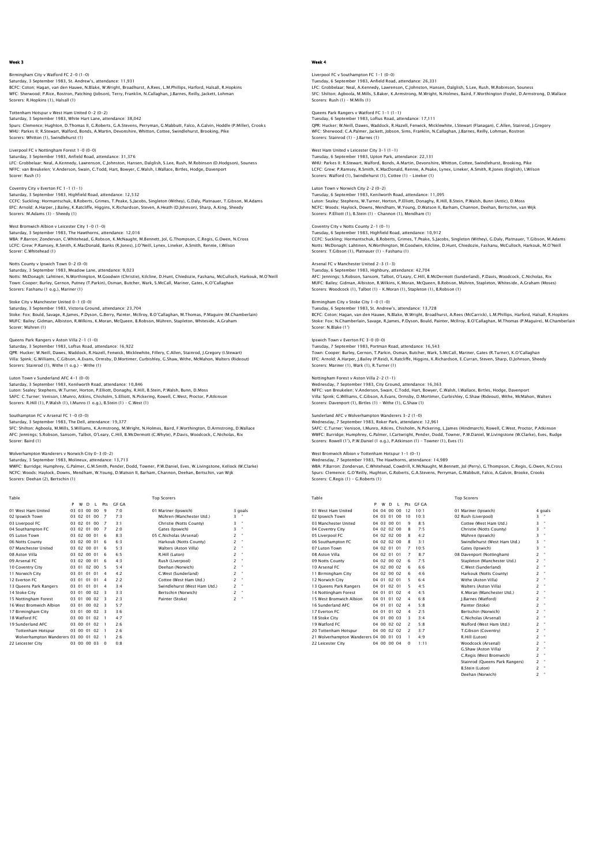#### Birmingham City v Watford FC 2-0 (1-0) Saturday, 3 September 1983, St. Andrew's, attendance: 11,931 BCFC: Coton; Hagan, van den Hauwe, N.Blake, W.Wright, Broadhurst, A.Rees, L.M.Phillips, Harford, Halsall, R.Hopkins WFC: Sherwood; P.Rice, Rostron, Patching (Jobson), Terry, Franklin, N.Callaghan, J.Barnes, Reilly, Jackett, Lohman Scorers: R.Hopkins (1), Halsall (1)

## Tottenham Hotspur v West Ham United 0-2 (0-2) Saturday, 3 September 1983, White Hart Lane, attendance: 38,042

Spurs: Clemence; Hughton, D.Thomas II, G.Roberts, G.A.Stevens, Perryman, G.Mabbutt, Falco, A.Galvin, Hoddle (P.Miller), Crooks<br>WHU: Parkes II; R.Stewart, Walford, Bonds, A.Martin, Devonshire, Whitton, Cottee, Swindlehurst, Scorers: Whitton (1), Swindlehurst (1)

#### Liverpool FC v Nottingham Forest 1-0 (0-0) Saturday, 3 September 1983, Anfield Road, attendance: 31,376

LFC: Grobbelaar; Neal, A.Kennedy, Lawrenson, C.Johnston, Hansen, Dalglish, S.Lee, Rush, M.Robinson (D.Hodgson), Souness NFFC: van Breukelen; V.Anderson, Swain, C.Todd, Hart, Bowyer, C.Walsh, I.Wallace, Birtles, Hodge, Davenport Scorer: Rush (1)

#### Coventry City v Everton FC 1-1 (1-1)

Saturday, 3 September 1983, Highfield Road, attendance: 12,532 CCFC: Suckling: Hormantschuk, B.Roberts, Grimes, T.Peake, S.Jacobs, Singleton (Withey), G.Daly, Platnauer, T.Gibson, M.Adams<br>EFC: Arnold; A.Harper, J.Bailey, K.Ratcliffe, Higgins, K.Richardson, Steven, A.Heath (D.Johnson),

#### West Bromwich Albion v Leicester City 1-0 (1-0)

Saturday, 3 September 1983, The Hawthorns, attendance: 12,016<br>WBA: P.Barron; Zondervan, C.Whitehead, G.Robson, K.McNaught, M.Bennett, Jol, G.Thompson, C.Regis, G.Owen, N.Cross<br>LCFC: Grew; P.Ramsey, R.Smith, K.MacDonald, Ba Scorer: C.Whitehead (1)

#### Notts County v Ipswich Town 0-2 (0-0)

Saturday, 3 September 1983, Meadow Lane, attendance: 9,023<br>Notts: McDonagh; Lahtinen, N.Worthington, M.Goodwin (Christle), Kilcline, D.Hunt, Chiedozie, Fashanu, McCulloch, Harkouk, M.O'Neill<br>Town: Cooper; Burley, Gernon, P Scorers: Fashanu (1 o.g.), Mariner (1)

Scorer: Mühren (1)

Stoke City v Manchester United 0–1 (0–0)<br>Saturday, 3 September 1983, Victoria Ground, attendance: 23,704<br>Stoke: Fox, Bould, Savage, R.James, P.Dyson, G.Berry, Painter, McIIroy, B.O'Callaghan, M.Thomas, P.Maguire (M.Chamber

Queens Park Rangers v Aston Villa 2-1 (1-0) Saturday, 3 September 1983, Loftus Road, attendance: 16,922 QPR: Hucker; W.Neill, Dawes, Waddock, R.Hazell, Fenwick, Micklewhite, Fillery, C.Allen, Stainrod, J.Gregory (I.Stewart)<br>Villa: Spink; G.Williams, C.Gibson, A.Evans, Ormsby, D.Mortimer, Curbishley, G.Shaw, Withe, McMahon, W Scorers: Stainrod (1), Withe (1 o.g.) - Withe (1)

## $r$ land AFC 4-1 (0-0)

Saturday, 3 September 1983, Kenilworth Road, attendance: 10,846 Luton: Sealey; Stephens, W.Turner, Horton, P.Elliott, Donaghy, R.Hill, B.Stein, P.Walsh, Bunn, D.Moss SAFC: C.Turner; Venison, I.Munro, Atkins, Chisholm, S.Elliott, N.Pickering, Rowell, C.West, Proctor, P.Atkinson Scorers: R.Hill (1), P.Walsh (1), I.Munro (1 o.g.), B.Stein (1) – C.West (1)

### Southampton FC v Arsenal FC 1-0 (0-0)

Saturday, 3 September 1983, The Dell, attendance: 19,377<br>Saturday, 3 September 1983, The Dell, attendance: 19,377<br>SEC: Shilton: Anboola, M.Mills. S.Williams. K.Armstrong. M.Wright. N.Holmes. Baird. E.Worthington, D.Armstro SFC: Shilton; Agboola, M.Mills, S.Williams, K.Armstrong, M.Wright, N.Holmes, Baird, F.Worthington, D.Armstrong, D.Wallace<br>AFC: Jennings; S.Robson, Sansom, Talbot, O'Leary, C.Hill, B.McDermott (C.Whyte), P.Davis, Woodcock,

#### Wolverhampton Wanderers v Norwich City 0-3 (0-2) Saturday, 3 September 1983, Molineux, attendance: 13,713

WWFC: Burridge; Humphrey, G.Palmer, G.M.Smith, Pender, Dodd, Towner, P.W.Daniel, Eves, W.Livingstone, Kellock (W.Clarke)<br>NCFC: Woods; Haylock, Downs, Mendham, W.Young, D.Watson II, Barham, Channon, Deehan, Bertschin, van W

| Table                            |   |       |              |              |                |         | <b>Top Scorers</b>           |                |              |
|----------------------------------|---|-------|--------------|--------------|----------------|---------|------------------------------|----------------|--------------|
|                                  | P | w     | <sup>D</sup> | $\mathbf{I}$ | Prs            | GE GA   |                              |                |              |
| 01 West Ham United               |   |       | 03 03 00 00  |              | 9              | 7.0     | 01 Mariner (Ipswich)         |                | 3 goals      |
| 02 Ipswich Town                  |   |       | 03 02 01 00  |              | 7              | 7:3     | Mühren (Manchester Utd.)     | 3              |              |
| 03 Liverpool FC                  |   |       | 03 02 01 00  |              | $\overline{7}$ | 3:1     | Christie (Notts County)      | 3              | $\mathbf{u}$ |
| 04 Southampton FC                |   |       | 03 02 01 00  |              | $\overline{7}$ | 2.0     | Gates (Ipswich)              | 3              | $\mathbf{u}$ |
| 05 Luton Town                    |   |       | 03 02 00 01  |              | 6              | 8:3     | 05 C.Nicholas (Arsenal)      | $\overline{c}$ | ×            |
| 06 Notts County                  |   |       | 03 02 00 01  |              | 6              | 6.3     | Harkouk (Notts County)       | $\overline{c}$ | $\mathbf{u}$ |
| 07 Manchester United             |   |       | 03 02 00 01  |              | 6              | 5:3     | Walters (Aston Villa)        | $\overline{c}$ | ×            |
| 08 Aston Villa                   |   |       | 03 02 00 01  |              | 6              | 6.5     | R.Hill (Luton)               | $\overline{c}$ | $\mathbf{u}$ |
| 09 Arsenal FC                    |   |       | 03 02 00 01  |              | 6              | 4.3     | Rush (Liverpool)             | $\overline{c}$ | ×            |
| 10 Coventry City                 |   | 03 01 | 02 00        |              | 5              | 5.4     | Deehan (Norwich)             | $\overline{c}$ | $\mathbf{u}$ |
| 11 Norwich City                  |   | 03 01 | 0101         |              | 4              | 4.2     | C.West (Sunderland)          | $\overline{c}$ | ×            |
| 12 Everton EC                    |   | 03 01 | 0101         |              | 4              | 2.2     | Cottee (West Ham Utd.)       | $\overline{c}$ | ×            |
| 13 Queens Park Rangers           |   | 03 01 | 0101         |              | 4              | 3.4     | Swindlehurst (West Ham Utd.) | $\overline{c}$ | $\mathbf{u}$ |
| 14 Stoke City                    |   | 03 01 | 0002         |              | з              | 3:3     | Bertschin (Norwich)          | $\overline{c}$ | $\mathbf{u}$ |
| 15 Nottingham Forest             |   | 03 01 | 0002         |              | з              | 2:3     | Painter (Stoke)              | $\overline{c}$ | $\mathbf{u}$ |
| 16 West Bromwich Albion          |   | 03 01 | 0002         |              | з              | 5.7     |                              |                |              |
| 17 Birmingham City               |   | 03 01 | 0002         |              | 3              | 3.6     |                              |                |              |
| 18 Watford FC                    |   |       | 03 00 01 02  |              | 1              | $4 - 7$ |                              |                |              |
| 19 Sunderland AFC                |   |       | 03 00 01 02  |              | 1              | 2.6     |                              |                |              |
| <b>Tottenham Hotspur</b>         |   |       | 03 00 01 02  |              | 1              | 2:6     |                              |                |              |
| Wolverhampton Wanderers 03 00 01 |   |       |              | 02           | -1             | 2.6     |                              |                |              |
| 22 Leicester City                |   |       | 03 00 00 03  |              | $\Omega$       | 0:8     |                              |                |              |

## Week 4

# Liverpool FC v Southampton FC 1–1 (0–0)<br>Tuesday, 6 September 1983, Anfield Road, attendance: 26,331<br>LFC: Grobbelaar; Neal, A.Kennedy, Lawrenson, C.Johnston, Hansen, Dalqlish, S.Lee, Rush, M.Robinson, Souness

SFC: Shilton; Agboola, M.Mills, S.Baker, K.Armstrong, M.Wright, N.Holmes, Baird, F.Worthington (Foyle), D.Armstrong, D.Wallace Scorers: Rush (1) – M.Mills (1)

## Queens Park Rangers v Watford FC 1-1 (1-1) Tuesday, 6 September 1983, Loftus Road, attendance: 17,111

QPR: Hucker; W.Neill, Dawes, Waddock, R.Hazell, Fenwick, Micklewhite, I.Stewart (Flanagan), C.Allen, Stainrod, J.Gregory WFC: Sherwood; C.A.Palmer, Jackett, Jobson, Sims, Franklin, N.Callaghan, J.Barnes, Reilly, Lohman, Rostron Scorers: Stainrod (1) – J.Barnes (1)

## West Ham United v Leicester City 3-1 (1-1)

Tuesday, 6 September 1983, Upton Park, attendance: 22,131<br>WHU: Parkes II; R.Stewart, Walford, Bonds, A.Martin, Devonshire, Whitton, Cottee, Swindlehurst, Brooking, Pike<br>LCFC: Grew, P.Ramsey, R.Smith, K.MacDonald, Rennie, A

## Luton Town v Norwich City 2-2 (0-2)<br>Tuesday, 6 September 1983, Kenilworth Road, attendance: 11.095

Tuesday, 6 September 1983, Kenilworth Road, attendance: 11,095<br>Luton: Sealey; Stephens, W.Turner, Horton, P.Elliott, Donaghy, R.Hill, B.Stein, P.Walsh, Bunn (Antic), D.Moss<br>NCFC: Woods; Haylock, Downs, Mendham, W.Young, D.

### Coventry City v Notts County 2-1 (0-1)

Tuesday, 6 September 1983, Highfield Road, attendance: 10,912<br>CCFC: Suckling, Hormantschuk, B.Roberts, Grimes, T.Peake, S.Jacobs, Singleton (Withey), G.Daly, Platnauer, T.Gibson, M.Adams<br>Notts: McDonagh; Lahtinen, N.Worthi Scorers: T.Gibson (1), Platnauer (1) – Fashanu (1)

#### Arsenal FC v Manchester United 2-3 (1-3)

Tuesday, 6 September 1983, Highbury, attendance: 42,704<br>AFC: Jennings; S.Robson, Sansom, Talbot, O'Leary, C.Hill, B.McDermott (Sunderland), P.Davis, Woodcock, C.Nicholas, Rix<br>MUFC: Bailey, Gidman, Albiston, R.Wilkins, K.Mo Scorers: Woodcock (1), Talbot (1) – K.Moran (1), Stapleton (1), B.Robson (1)

#### Birmingham City v Stoke City 1-0 (1-0)

Tuesday, 6 September 1983, St. Andrew's, attendance: 13,728 BCFC: Coton; Hagan, van den Hauwe, N.Blake, W.Wright, Broadhurst, A.Rees (McCarrick), L.M.Phillips, Harford, Halsall, R.Hopkins<br>Stoke: Fox; N.Chamberlain, Savage, R.James, P.Dyson, Bould, Painter, McIlroy, B.O'Callaghan, M Scorer: N.Blake (1')

### Ipswich Town v Everton FC 3-0 (0-0)

Tuesday, 7 September 1983, Portman Road, attendance: 16,543 Town: Cooper; Burley, Gernon, T.Parkin, Osman, Butcher, Wark, S.McCall, Mariner, Gates (R.Turner), K.O'Callaghan EFC: Arnold; A.Harper, J.Bailey (P.Reid), K.Ratcliffe, Higgins, K.Richardson, E.Curran, Steven, Sharp, D.Johnson, Sheedy Scorers: Mariner (1), Wark (1), R.Turner (1)

## Nottingham Forest v Aston Villa 2-2 (1-1)

Wednesday, 7 September 1983, City Ground, attendance: 16,363 NFFC: van Breukelen; V.Anderson, Swain, C.Todd, Hart, Bowyer, C.Walsh, I.Wallace, Birtles, Hodge, Davenport Villa: Spink; G.Williams, C.Gibson, A.Evans, Ormsby, D.Mortimer, Curbishley, G.Shaw (Rideout), Withe, McMahon, Walters<br>Scorers: Davenport (1), Birtles (1) – Withe (1), G.Shaw (1)

#### Sunderland AFC v Wolverhampton Wanderers 3-2 (1-0) Wednesday, 7 September 1983, Roker Park, attendance: 12,961

SAFC: C.Turner; Venison, I.Munro, Atkins, Chisholm, N.Pickering, L.James (Hindmarch), Rowell, C.West, Proctor, P.Atkinson WWFC: Burridge; Humphrey, G.Palmer, I.Cartwright, Pender, Dodd, Towner, P.W.Daniel, W.Livingstone (W.Clarke), Eves, Rudge<br>Scorers: Rowell (1'), P.W.Daniel (1 o.g.), P.Atkinson (1) – Towner (1), Eves (1)

#### West Bromwich Albion v Tottenham Hotspur 1-1 (0-1)

Wednesday, 7 September 1983, The Hawthorns, attendance: 14,989

WBA: P.Barron; Zondervan, C.Whitehead, Cowdrill, K.McNaught, M.Bennett, Jol (Perry), G.Thompson, C.Regis, G.Owen, N.Cross<br>Spurs: Clemence; G.O'Reilly, Hughton, G.Roberts, G.A.Stevens, Perryman, G.Mabbutt, Falco, A.Galvin,

| Table                                  |   |             |    |                |                         |           | <b>Top Scorers</b>           |                          |                      |
|----------------------------------------|---|-------------|----|----------------|-------------------------|-----------|------------------------------|--------------------------|----------------------|
|                                        | P | W           | D. | $\mathbf{I}$   |                         | Pts GF GA |                              |                          |                      |
| 01 West Ham United                     |   | 04 04 00    |    | 0 <sub>0</sub> | 12                      | 10:1      | 01 Mariner (Ipswich)         |                          | 4 goals              |
| 02 Ipswich Town                        |   | 04 03 01    |    | 00             | 10                      | 10.3      | 02 Rush (Liverpool)          | 3                        |                      |
| 03 Manchester United                   |   | 04 03 00 01 |    |                | ۹                       | 8.5       | Cottee (West Ham Utd.)       | 3                        | $\alpha$             |
| 04 Coventry City                       |   | 04 02 02 00 |    |                | 8                       | 7:5       | Christie (Notts County)      | 3                        | $\alpha$             |
| 05 Liverpool FC                        |   | 04 02 02 00 |    |                | 8                       | 4:2       | Mühren (Ipswich)             | 3                        | $\scriptstyle\alpha$ |
| 06 Southampton FC                      |   | 04 02 02 00 |    |                | 8                       | 3:1       | Swindlehurst (West Ham Utd.) | 3                        |                      |
| 07 Luton Town                          |   | 04 02 01    |    | 01             | $\overline{7}$          | 10.5      | Gates (Ipswich)              | 3                        | $\scriptstyle\alpha$ |
| 08 Aston Villa                         |   | 04 02 01 01 |    |                | $\overline{7}$          | 8.7       | 08 Davenport (Nottingham)    | $\overline{\phantom{a}}$ | $\scriptstyle\alpha$ |
| 09 Notts County                        |   | 04 02 00 02 |    |                | 6                       | 7.5       | Stapleton (Manchester Utd.)  | $\overline{2}$           | $\scriptstyle\alpha$ |
| 10 Arsenal FC                          |   | 04 02 00 02 |    |                | 6                       | 6.6       | C.West (Sunderland)          | $\overline{2}$           | $\scriptstyle\alpha$ |
| 11 Birmingham City                     |   | 04 02 00 02 |    |                | 6                       | 4.6       | Harkouk (Notts County)       | $\overline{2}$           | $\scriptstyle\alpha$ |
| 12 Norwich City                        |   | 04 01 02 01 |    |                | 5                       | 6.4       | Withe (Aston Villa)          | $\overline{\phantom{a}}$ | $\scriptstyle\alpha$ |
| 13 Oueens Park Rangers                 |   | 04 01 02 01 |    |                | 5                       | 4.5       | Walters (Aston Villa)        | $\overline{2}$           | $\alpha$             |
| 14 Nottingham Forest                   |   | 04 01 01    |    | 0 <sub>2</sub> | $\overline{\mathbf{4}}$ | 4.5       | K.Moran (Manchester Utd.)    | $\overline{2}$           | $\alpha$             |
| 15 West Bromwich Albion                |   | 04.01       | 01 | 0 <sub>2</sub> | 4                       | 6.8       | I.Barnes (Watford)           | $\overline{2}$           | $\alpha$             |
| 16 Sunderland AFC                      |   | 0401        | 01 | 0 <sub>2</sub> | 4                       | 5.8       | Painter (Stoke)              | $\overline{2}$           | $\alpha$             |
| 17 Everton EC                          |   | 04 01 01 02 |    |                | $\overline{4}$          | 2.5       | Bertschin (Norwich)          | $\overline{2}$           | $\scriptstyle\alpha$ |
| 18 Stoke City                          |   | 04 01 00 03 |    |                | З                       | 3.4       | C.Nicholas (Arsenal)         | $\overline{\phantom{a}}$ | $\scriptstyle\alpha$ |
| 19 Watford FC                          |   | 04 00 02 02 |    |                | $\mathcal{P}$           | 5.8       | Walford (West Ham Utd.)      | $\overline{2}$           |                      |
| 20 Tottenham Hotspur                   |   | 04 00 02 02 |    |                | $\mathcal{P}$           | 3.7       | T.Gibson (Coventry)          | $\overline{2}$           | $\scriptstyle\alpha$ |
| 21 Wolverhampton Wanderers 04 00 01 03 |   |             |    |                | ı                       | 4:9       | R.Hill (Luton)               | $\overline{\phantom{a}}$ | $\scriptstyle\alpha$ |
| 22 Leicester City                      |   | 04 00 00 04 |    |                | $\Omega$                | 1:11      | Woodcock (Arsenal)           | $\overline{2}$           | $\scriptstyle\alpha$ |
|                                        |   |             |    |                |                         |           | G.Shaw (Aston Villa)         | $\overline{\phantom{a}}$ | $\scriptstyle\alpha$ |
|                                        |   |             |    |                |                         |           | C.Regis (West Bromwich)      | $\mathcal{P}$            | $\mathbf{a}$         |

Stainrod (Queens Park Rangers)

Deehan (Norwich) 2 "

B.Stein (Lu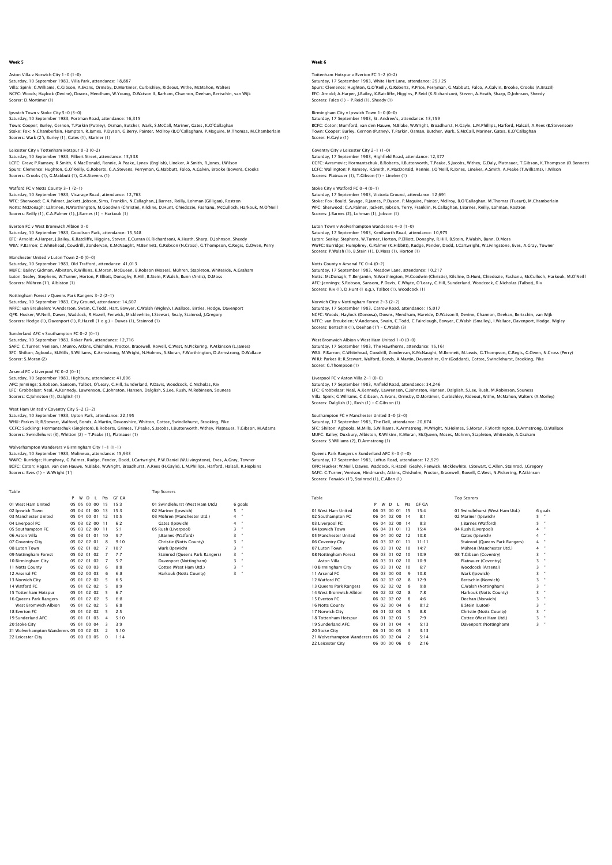Aston Villa v Norwich City 1-0 (1-0) Saturday, 10 September 1983, Villa Park, attendance: 18,887 Villa: Spink; G.Williams, C.Gibson, A.Evans, Ormsby, D.Mortimer, Curbishley, Rideout, Withe, McMahon, Walters NCFC: Woods; Haylock (Devine), Downs, Mendham, W.Young, D.Watson II, Barham, Channon, Deehan, Bertschin, van Wijk Scorer: D.Mortimer (1)

Ipswich Town v Stoke City 5-0 (3-0) Saturday, 10 September 1983, Portman Road, attendance: 16,315 Town: Cooper; Burley, Gernon, T.Parkin (Putney), Osman, Butcher, Wark, S.McCall, Mariner, Gates, K.O'Callaghan<br>Stoke: Fox; N.Chamberlain, Hampton, R.James, P.Dyson, G.Berry, Painter, Mcliroy (B.O'Callaghan), P.Maguire, M.T

Leicester City v Tottenham Hotspur 0-3 (0-2) Saturday, 10 September 1983, Filbert Street, attendance: 15,538 LCFC: Grew; P.Ramsey, R.Smith, K.MacDonald, Rennie, A.Peake, Lynex (English), Lineker, A.Smith, R.Jones, I.Wilson Spurs: Clemence; Hughton, G.O'Reilly, G.Roberts, G.A.Stevens, Perryman, G.Mabbutt, Falco, A.Galvin, Brooke (Bowen), Crooks Scorers: Crooks (1), G.Mabbutt (1), G.A.Stevens (1)

Watford FC v Notts County 3-1 (2-1) Saturday, 10 September 1983, Vicarage Road, attendance: 12,763 WFC: Sherwood; C.A.Palmer, Jackett, Jobson, Sims, Franklin, N.Callaghan, J.Barnes, Reilly, Lohman (Gilligan), Rostron<br>Notts: MCDonagh; Lahtinen, N.Worthington, M.Coodwin (Christie), Kilcline, D.Hunt, Chiedozie, Fashanu, Mc

Everton FC v West Bromwich Albion 0-0 Saturday, 10 September 1983, Goodison Park, attendance: 15,548 EFC: Arnold; A.Harper, J.Bailey, K.Ratcliffe, Higgins, Steven, E.Curran (K.Richardson), A.Heath, Sharp, D.Johnson, Sheedy<br>WBA: P.Barron; C.Whitehead, Cowdrill, Zondervan, K.McNauqht, M.Bennett, G.Robson (N.Cross), G.Thomps

Manchester United v Luton Town 2-0 (0-0)

Saturday, 10 September 1983, Old Trafford, attendance: 41,013 MUFC: Bailey; Gidman, Albiston, R.Wilkins, K.Moran, McQueen, B.Robson (Moses), Mühren, Stapleton, Whiteside, A.Graham<br>Luton: Sealey; Stephens, W.Turner, Horton, P.Elliott, Donaghy, R.Hill, B.Stein, P.Walsh, Bunn (Antic), D Scorers: Mühren (1'), Albiston (1)

Nottingham Forest v Queens Park Rangers 3–2 (2–1)<br>Saturday, 10 September 1983, City Ground, attendance: 14,607<br>NFFC: van Breukelen; V.Anderson, Swain, C.Todd, Hart, Bowyer, C.Walsh (Wigley), I.Wallace, Birtles, Hodge, Dave

Sunderland AFC v Southampton FC 0-2 (0-1)

Saturday, 10 September 1983, Roker Park, attendance: 12,716<br>SAFC: C.Turner; Venison, I.Munro, Atkins, Chisholm, Proctor, Bracewell, Rowell, C.West, N.Pickering, P.Atkinson (L.James)<br>SFC: Shilton; Aqboola, M.Mills, S.Willia Scorer: S.Moran (2)

Arsenal FC v Liverpool FC 0-2 (0-1)

Saturday, 10 September 1983, Highbury, attendance: 41,896 AFC: Jennings; S.Robson, Sansom, Talbot, O'Leary, C.Hill, Sunderland, P.Davis, Woodcock, C.Nicholas, Rix LFC: Grobbelaar; Neal, A.Kennedy, Lawrenson, C.Johnston, Hansen, Dalglish, S.Lee, Rush, M.Robinson, Souness Scorers: C.Johnston (1), Dalglish (1)

## West Ham United v Coventry City 5-2 (3-2)

Saturday, 10 September 1983, Upton Park, attendance: 22,195 WHU: Parkes II; R.Stewart, Walford, Bonds, A.Martin, Devonshire, Whitton, Cottee, Swindlehurst, Brooking, Pike CCFC: Suckling; Hormantschuk (Singleton), B.Roberts, Grimes, T.Peake, S.Jacobs, I.Butterworth, Withey, Platnauer, T.Gibson, M.Adams Scorers: Swindlehurst (3), Whitton (2) - T.Peake (1), Platnauer (1)

### Birmingham City 1-1 (1-1)

10 Birmingnam City 05 02 01 02 1<br>11 Notts County 05 02 00 03 6 6:8<br>12 Arsenal FC 05 02 00 03 6 6:8<br>13 Norwich City 05 01 02 02 5 6:5 14 Watford FC 05 01 02 02 5 8:9<br>15 Tottenham Hotspur 05 01 02 02 5 6:7 15 Tottenham Hotspur 05 01 02 02 5 6:7 16 Queens Park Rangers 05 01 02 02 5 6:8 West Bromwich Albion 05 01 02 02 5 6:8 18 Everton FC 05 01 02 02 5 2:5 18 Everton FC 05 01 02 02 5 2:5<br>19 Sunderland AFC 05 01 01 03 4 5:10<br>20 Stoke City 05 01 00 04 3 3:9 05 01 02 02<br>05 01 02 02<br>05 01 01 03<br>05 01 00 04

21 Wolverhampton Wanderers 05 00 02 03 2 5:10 22 Leicester City 05 00 00 05 0 1:14

Saturday, 10 September 1983, Molineux, attendance: 15,933 WWFC: Burridge; Humphrey, G.Palmer, Rudge, Pender, Dodd, I.Cartwright, P.W.Daniel (W.Livingstone), Eves, A.Gray, Towner BCFC: Coton; Hagan, van den Hauwe, N.Blake, W.Wright, Broadhurst, A.Rees (H.Gayle), L.M.Phillips, Harford, Halsall, R.Hopkins Scorers: Eves (1) - W.Wright (1')

| Table                |   |             |   |             |     |         | <b>Top Scorers</b>              |   |              |
|----------------------|---|-------------|---|-------------|-----|---------|---------------------------------|---|--------------|
|                      | P | w           | D | п.          | Prs | GE GA   |                                 |   |              |
| 01 West Ham United   |   | 05 05 00 00 |   |             | 15  | 15:3    | 01 Swindlehurst (West Ham Utd.) |   | 6 goals      |
| 02 Ipswich Town      |   | 05 04 01 00 |   |             | 13  | 15.3    | 02 Mariner (Ipswich)            | 5 |              |
| 03 Manchester United |   | 05 04 00 01 |   |             | 12  | 10:5    | 03 Mühren (Manchester Utd.)     | 4 | $\mathbf{H}$ |
| 04 Liverpool FC      |   |             |   | 05 03 02 00 | 11  | 6.2     | Gates (Ipswich)                 | 4 | ×            |
| 05 Southampton FC    |   | 05 03 02 00 |   |             | 11  | 5:1     | 05 Rush (Liverpool)             | 3 | $\mathbf{u}$ |
| 06 Aston Villa       |   | 05 03 01 01 |   |             | 10  | 9:7     | I.Barnes (Watford)              | 3 | ×            |
| 07 Coventry City     |   | 05 02 02 01 |   |             | 8   | 9:10    | Christie (Notts County)         | 3 | $\mathbf{H}$ |
| 08 Luton Town        |   | 05 02 01 02 |   |             | 7   | $10-7$  | Wark (Ipswich)                  | 3 | $\mathbf{H}$ |
| 09 Nottingham Forest |   | 05 02 01 02 |   |             | 7   | 7.7     | Stainrod (Queens Park Rangers)  | 3 | $\mathbf{u}$ |
| 10 Birmingham City   |   | 05 02 01 02 |   |             | 7   | 5.7     | Davenport (Nottingham)          | 3 | $\mathbf{H}$ |
| 11 Notts County      |   | 05 02 00 03 |   |             | 6   | 8:8     | Cottee (West Ham Utd.)          | 3 | ×            |
| 12 Arsenal FC        |   | 05 02 00 03 |   |             | 6   | $6 - 8$ | Harkouk (Notts County)          | 3 | $\mathbf{H}$ |
| 13 Norwich City      |   | 05 01 02 02 |   |             |     | 6.5     |                                 |   |              |

#### Week 6

Tottenham Hotspur v Everton FC 1–2 (0–2)<br>Saturday, 17 September 1983, White Hart Lane, attendance: 29,125<br>Spurs: Clemence: Hughton, G.O'Reilly, G.Roberts, P.Price, Perryman, G.Mabbutt, Falco, A.Galvin, Brooke, Crooks (A.Br EFC: Arnold; A.Harper, J.Bailey, K.Ratcliffe, Higgins, P.Reid (K.Richardson), Steven, A.Heath, Sharp, D.Johnson, Sheedy Scorers: Falco (1) - P.Reid (1), Sheedy (1)

Birmingham City v Ipswich Town 1-0 (0-0)

Saturday, 17 September 1983, St. Andrew's, attendance: 13,159 BCFC: Coton; Mumford, van den Hauwe, N.Blake, W.Wright, Broadhurst, H.Gayle, L.M.Phillips, Harford, Halsall, A.Rees (B.Stevenson) Town: Cooper; Burley, Gernon (Putney), T.Parkin, Osman, Butcher, Wark, S.McCall, Mariner, Gates, K.O'Callaghan Scorer: H.Gayle (1)

## Coventry City v Leicester City 2-1 (1-0)

Saturday, 17 September 1983, Highfield Road, attendance: 12,377<br>CCFC: Avamovic; Hormantschuk, B.Roberts, I.Butterworth, T.Peake, S.Jacobs, Withey, G.Daly, Platnauer, T.Gibson, K.Thompson (D.Bennett)<br>CCFC: Wallington: P.Ram

## Stoke City v Watford FC 0-4 (0-1)

Saturday, 17 September 1983, Victoria Ground, attendance: 12,691 Stoke: Fox; Bould, Savage, R.James, P.Dyson, P.Maguire, Painter, McIIroy, B.O'Callaghan, M.Thomas (Tueart), M.Chamberlair<br>WFC: Sherwood; C.A.Palmer, Jackett, Jobson, Terry, Franklin, N.Callaghan, J.Barnes, Reilly, Lohman,

## Luton Town v Wolverhampton Wanderers 4-0 (1-0)

Saturday, 17 September 1983, Kenilworth Road, attendance: 10,975 Luton: Sealey: Stephens, W.Turner, Horton, P.Elliott, Donaghy, R.Hill, B.Stein, P.Walsh, Bunn, D.Moss<br>WWFC: Burridge; Humphrey, G.Palmer (K.Hibbith), Rudge, Pender, Dodd, I.Cartwright, W.Livingstone, Eves, A.Gray, Towner<br>S

#### Notts County v Arsenal FC 0-4 (0-2)

Saturday, 17 September 1983, Meadow Lane, attendance: 10,217<br>Notts: McDonagh; T.Benjamin, N.Worthington, M.Goodwin (Christie), Kilcline, D.Hunt, Chiedozie, Fashanu, McCulloch, Harkouk, M.O'Neil<br>AFC: Jennings; S.Robson, San Scorers: Rix (1), D.Hunt (1 o.g.), Talbot (1), Woodcock (1)

#### Norwich City v Nottingham Forest 2-3 (2-2)

Saturday, 17 September 1983, Carrow Road, attendance: 15,017 NCFC: Woods; Haylock (Donowa), Downs, Mendham, Hareide, D.Watson II, Devine, Channon, Deehan, Bertschin, van Wijk<br>NFFC: van Breukelen; V.Anderson, Swain, C.Todd, C.Fairclough, Bowyer, C.Walsh (Smalley), I.Wallace, Davenpor Scorers: Bertschin (1), Deehan (1') – C.Walsh (3)

## West Bromwich Albion v West Ham United 1-0 (0-0)

Saturday, 17 September 1983, The Hawthorns, attendance: 15,161 WBA: P.Barron; C.Whitehead, Cowdrill, Zondervan, K.McNaught, M.Bennett, M.Lewis, G.Thompson, C.Regis, G.Owen, N.Cross (Perry) WHU: Parkes II; R.Stewart, Walford, Bonds, A.Martin, Devonshire, Orr (Goddard), Cottee, Swindlehurst, Brooking, Pike Scorer: G.Thompson (1)

## Liverpool FC v Aston Villa 2-1 (0-0)

Saturday, 17 September 1983, Anfield Road, attendance: 34,246 LFC: Grobbelaar; Neal, A.Kennedy, Lawrenson, C.Johnston, Hansen, Dalglish, S.Lee, Rush, M.Robinson, Souness Villa: Spink; G.Williams, C.Gibson, A.Evans, Ormsby, D.Mortimer, Curbishley, Rideout, Withe, McMahon, Walters (A.Morley) Scorers: Dalglish (1), Rush (1) - C.Gibson (1)

#### Southampton FC v Manchester United 3-0 (2-0) Southampton FC v Manchester United 5-0 (2-0)<br>Saturday, 17 September 1983, The Dell, attendance: 20,674

SFC: Shilton; Agboola, M.Mills, S.Williams, K.Armstrong, M.Wright, N.Holmes, S.Moran, F.Worthington, D.Armstrong, D.Wallace MUFC: Bailey; Duxbury, Albiston, R.Wilkins, K.Moran, McQueen, Moses, Mühren, Stapleton, Whiteside, A.Graham Scorers: S.Williams (2), D.Armstrong (1)

#### Queens Park Rangers v Sunderland AFC 3-0 (1-0)

Saturday, 17 September 1983, Loftus Road, attendance: 12,929

QPR: Hucker; W.Neill, Dawes, Waddock, R.Hazell (Sealy), Fenwick, Micklewhite, I.Stewart, C.Allen, Stainrod, J.Gregory<br>SAFC: C.Turner; Venison, Hindmarch, Atkins, Chisholm, Proctor, Bracewell, Rowell, C.West, N.Pickering, P

| Table                                  |   |             |    |                |               |       | <b>Top Scorers</b>              |   |                      |
|----------------------------------------|---|-------------|----|----------------|---------------|-------|---------------------------------|---|----------------------|
|                                        | P | W           | D. | $\mathbf{I}$   | Prs           | GE GA |                                 |   |                      |
| 01 West Ham United                     |   | 06 05 00 01 |    |                | 15            | 15.4  | 01 Swindlehurst (West Ham Utd.) |   | 6 goals              |
| 02 Southampton FC                      |   | 06 04 02 00 |    |                | 14            | 8:1   | 02 Mariner (Ipswich)            | 5 |                      |
| 03 Liverpool FC                        |   | 06 04 02 00 |    |                | 14            | 8.3   | I.Barnes (Watford)              | 5 | $\alpha$             |
| 04 Ipswich Town                        |   | 06 04       | 01 | $^{\circ}$     | 13            | 15.4  | 04 Rush (Liverpool)             | 4 | $\mathbf{a}$         |
| 05 Manchester United                   |   | 06 04 00 02 |    |                | 12            | 10:8  | Gates (Ipswich)                 | 4 |                      |
| 06 Coventry City                       |   | 06 03 02 01 |    |                | 11            | 11:11 | Stainrod (Queens Park Rangers)  | 4 | $\alpha$             |
| 07 Luton Town                          |   | 06 03 01    |    | 02             | 10            | 14:7  | Mühren (Manchester Utd.)        | 4 | $\scriptstyle\alpha$ |
| 08 Nottingham Forest                   |   | 06 03 01 02 |    |                | 10            | 10.9  | 08 T.Gibson (Coventry)          | 3 | $\alpha$             |
| Aston Villa                            |   | 06 03       | 01 | 0 <sub>2</sub> | 10            | 10.9  | Platnauer (Coventry)            | 3 | $\scriptstyle\alpha$ |
| 10 Birmingham City                     |   | 06 03 01    |    | 02             | 10            | 6:7   | Woodcock (Arsenal)              | 3 | $\alpha$             |
| 11 Arsenal FC                          |   | 06 03 00 03 |    |                | ۹             | 10.8  | Wark (Ipswich)                  | 3 | $\scriptstyle\alpha$ |
| 12 Watford FC                          |   | 06 02 02 02 |    |                | 8             | 12:9  | Bertschin (Norwich)             | 3 | $\scriptstyle\alpha$ |
| 13 Queens Park Rangers                 |   | 06 02 02 02 |    |                | 8             | 9.8   | C.Walsh (Nottingham)            | 3 | $\scriptstyle\alpha$ |
| 14 West Bromwich Albion                |   | 06 02 02 02 |    |                | 8             | 7:8   | Harkouk (Notts County)          | 3 | $\scriptstyle\alpha$ |
| 15 Everton EC                          |   | 06 02 02 02 |    |                | 8             | 4.6   | Deehan (Norwich)                | 3 | $\scriptstyle\alpha$ |
| 16 Notts County                        |   | 06 02 00 04 |    |                | 6             | 8:12  | <b>B.Stein (Luton)</b>          | 3 | $\alpha$             |
| 17 Norwich City                        |   | 06 01 02 03 |    |                | 5             | 8:8   | Christie (Notts County)         | 3 | $\scriptstyle\alpha$ |
| 18 Tottenham Hotspur                   |   | 06 01 02 03 |    |                | 5             | 7:9   | Cottee (West Ham Utd.)          | 3 | $\scriptstyle\alpha$ |
| 19 Sunderland AFC                      |   | 06 01       | 01 | 04             | 4             | 5:13  | Davenport (Nottingham)          | 3 | $\mathbf{a}$         |
| 20 Stoke City                          |   | 06 01 00 05 |    |                | 3             | 3:13  |                                 |   |                      |
| 21 Wolverhampton Wanderers 06 00 02 04 |   |             |    |                | $\mathcal{P}$ | 5:14  |                                 |   |                      |
| 22 Leicester City                      |   | 06 00 00 06 |    |                | $\Omega$      | 2:16  |                                 |   |                      |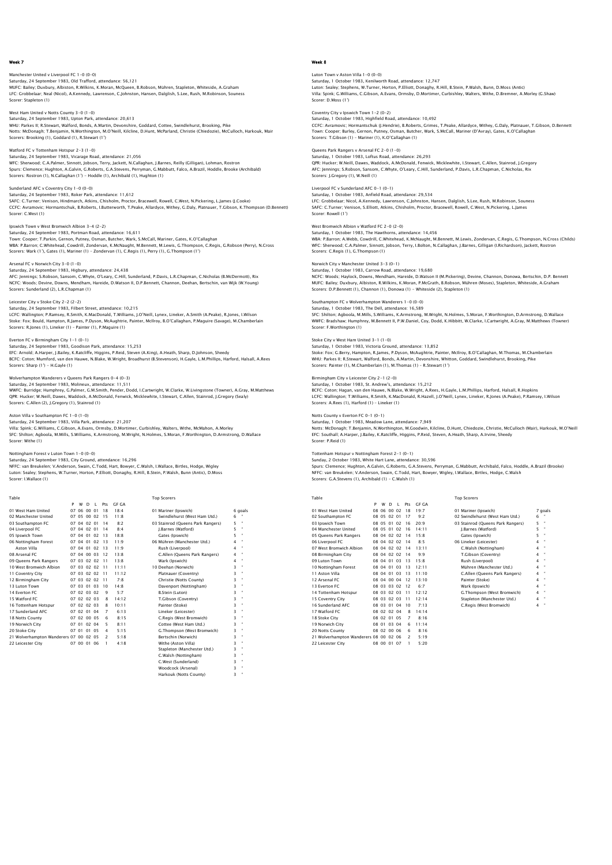# Manchester United v Liverpool FC 1–0 (0–0)<br>Saturday, 24 September 1983, Old Trafford, attendance: 56,121<br>MUFC: Bailey; Duxbury, Albiston, R.Wilkins, K.Moran, McQueen, B.Robson, Mühren, Stapleton, Whiteside, A.Graham

LFC: Grobbelaar; Neal (Nicol), A.Kennedy, Lawrenson, C.Johnston, Hansen, Dalglish, S.Lee, Rush, M.Robinson, Souness Scorer: Stapleton (1)

## West Ham United v Notts County 3-0 (1-0) Saturday, 24 September 1983, Upton Park, attendance: 20,613

WHU: Parkes II; R.Stewart, Walford, Bonds, A.Martin, Devonshire, Goddard, Cottee, Swindlehurst, Brooking, Pike Notts: McDonagh; T.Benjamin, N.Worthington, M.O'Neill, Kilcline, D.Hunt, McParland, Christie (Chiedozie), McCulloch, Harkouk, Mair Scorers: Brooking (1), Goddard (1), R.Stewart (1')

## Watford FC v Tottenham Hotspur 2-3 (1-0)

Saturday, 24 September 1983, Vicarage Road, attendance: 21,056<br>WFC: Sherwood; C.A.Palmer, Sinnott, Jobson, Terry, Jackett, N.Callaghan, J.Barnes, Reilly (Gilligan), Lohman, Rostron<br>Spurs: Clemence; Hughton, A.Calvin, G.Rob

#### Sunderland AFC v Coventry City 1-0 (0-0)

Saturday, 24 September 1983, Roker Park, attendance: 11,612 SAFC: C.Turner; Venison, Hindmarch, Atkins, Chisholm, Proctor, Bracewell, Rowell, C.West, N.Pickering, L.James (J.Cooke)<br>CCFC: Avramovic; Hormantschuk, B.Roberts, I.Butterworth, T.Peake, Allardyce, Withey, G.Daly, Platnaue

#### Ipswich Town v West Bromwich Albion 3-4 (2-2)

Saturday, 24 September 1983, Portman Road, attendance: 16,611 Town: Cooper; T.Parkin, Gernon, Putney, Osman, Butcher, Wark, S.McCall, Mariner, Gates, K.O'Callaghan<br>WBA: P.Barron; C.Whitehead, Cowdrill, Zondervan, K.McNauqht, M.Bennett, M.Lewis, G.Thompson, C.Reqis, G.Robson (Perry), Scorers: Wark (1'), Gates (1), Mariner (1) – Zondervan (1), C.Regis (1), Perry (1), G.Thompson (1')

#### Arsenal FC v Norwich City 3-0 (1-0)

Saturday, 24 September 1983, Higbury, attendance: 24,438<br>AFC: Jennings; S.Robson, Sansom, C.Whyte, O'Leary, C.Hill, Sunderland, P.Davis, L.R.Chapman, C.Nicholas (B.McDermott), Rix<br>NCFC: Woods; Devine, Downs, Mendham, Harei Scorers: Sunderland (2), L.R.Chapman (1)

Leicester City v Stoke City 2–2 (2–2)<br>Saturday, 24 September 1983, Filbert Street, attendance: 10,215<br>LCFC: Wallington; P.Ramsey, R.Smith, K.MacDonald, T.Williams, J.O'Neill, Lynex, Lineker, A.Smith (A.Peake), R.Jones, I.W Scorers: R.Jones (1), Lineker (1) – Painter (1), P.Maguire (1)

#### Everton FC v Birmingham City 1-1 (0-1)

Saturday, 24 September 1983, Goodison Park, attendance: 15,253 EFC: Arnold; A.Harper, J.Bailey, K.Ratcliffe, Higgins, P.Reid, Steven (A.King), A.Heath, Sharp, D.Johnson, Sheedy BCFC: Coton; Mumford, van den Hauwe, N.Blake, W.Wright, Broadhurst (B.Stevenson), H.Gayle, L.M.Phillips, Harford, Halsall, A.Rees Scorers: Sharp (1') - H.Gayle (1)

## mpton Wanderers v Queens Park Rangers 0-4 (0-3)

Saturday, 24 September 1983, Molineux, attendance: 11,511 WWFC: Burridge; Humphrey, G.Palmer, G.M.Smith, Pender, Dodd, I.Cartwright, W.Clarke, W.Livingstone (Towner), A.Gray, M.Matthews QPR: Hucker; W.Neill, Dawes, Waddock, A.McDonald, Fenwick, Micklewhite, I.Stewart, C.Allen, Stainrod, J.Gregory (Sealy) Scorers: C.Allen (2), J.Gregory (1), Stainrod (1)

#### Aston Villa v Southampton FC 1-0 (1-0)

Saturday, 24 September 1983, Villa Park, attendance: 21,207

Villa: Spink; G.Williams, C.Gibson, A.Evans, Ormsby, D.Mortimer, Curbishley, Walters, Withe, McMahon, A.Morley<br>SFC: Shilton; Agboola, M.Mills, S.Williams, K.Armstrong, M.Wright, N.Holmes, S.Moran, F.Worthington, D.Armstron

#### Nottingham Forest v Luton Town 1-0 (0-0) Saturday, 24 September 1983, City Ground, attendance: 16,296

NFFC: van Breukelen; V.Anderson, Swain, C.Todd, Hart, Bowyer, C.Walsh, I.Wallace, Birtles, Hodge, Wigley<br>Luton: Sealey; Stephens, W.Turner, Horton, P.Elliott, Donaghy, R.Hill, B.Stein, P.Walsh, Bunn (Antic), D.Moss<br>Scorer:

| Table                                  |    |             |          |              |                          |              | <b>Top Scorers</b>                |   |              |
|----------------------------------------|----|-------------|----------|--------------|--------------------------|--------------|-----------------------------------|---|--------------|
|                                        | P  | W           | D        | $\mathbf{I}$ | Pts                      | <b>GF GA</b> |                                   |   |              |
| 01 West Ham United                     | 07 |             | 06 00 01 |              | 18                       | 18.4         | 01 Mariner (Ipswich)              |   | 6 goals      |
| 02 Manchester United                   |    | 07 05 00 02 |          |              | 15                       | 11.8         | Swindlehurst (West Ham Utd.)      | 6 |              |
| 03 Southampton FC                      |    | 07 04 02 01 |          |              | 14                       | 8.2          | 03 Stainrod (Queens Park Rangers) | 5 | $\mathbf{a}$ |
| 04 Liverpool FC                        |    | 07 04 02 01 |          |              | 14                       | 8.4          | I.Barnes (Watford)                | 5 | $\mathbf{a}$ |
| 05 Ipswich Town                        |    | 07 04 01 02 |          |              | 13                       | 18.8         | Gates (Ipswich)                   | 5 | ×            |
| 06 Nottingham Forest                   |    | 07 04 01 02 |          |              | 13                       | 11.9         | 06 Mühren (Manchester Utd.)       | 4 | ×            |
| Aston Villa                            |    | 07 04 01 02 |          |              | 13                       | 11.9         | Rush (Liverpool)                  | 4 | $\mathbf{a}$ |
| 08 Arsenal FC                          |    | 07 04 00 03 |          |              | 12                       | 13.8         | C.Allen (Oueens Park Rangers)     | 4 | $\mathbf{a}$ |
| 09 Queens Park Rangers                 |    | 07 03 02 02 |          |              | 11                       | 13.8         | Wark (Ipswich)                    | 4 | $\mathbf{a}$ |
| 10 West Bromwich Albion                |    | 07 03 02 02 |          |              | 11                       | 11:11        | 10 Deehan (Norwich)               | 3 | $\mathbf{a}$ |
| 11 Coventry City                       |    | 07 03 02 02 |          |              | 11                       | 11:12        | Platnauer (Coventry)              | 3 | $\mathbf{a}$ |
| 12 Birmingham City                     |    | 07 03 02 02 |          |              | 11                       | 7.8          | Christie (Notts County)           | ż | ×            |
| 13 Luton Town                          |    | 07 03 01 03 |          |              | 10                       | 14.8         | Davenport (Nottingham)            | 3 | $\alpha$     |
| 14 Everton EC                          |    | 07 02 03 02 |          |              | q                        | 5:7          | B.Stein (Luton)                   | 3 | $\mathbf{a}$ |
| 15 Watford FC                          |    | 07 02 02 03 |          |              | 8                        | 14:12        | T.Gibson (Coventry)               | ż | ×            |
| 16 Tottenham Hotspur                   |    | 07 02 02 03 |          |              | 8                        | 10:11        | Painter (Stoke)                   | 3 | $\mathbf{a}$ |
| 17 Sunderland AFC                      |    | 07 02 01 04 |          |              | 7                        | 6:13         | Lineker (Leicester)               | 3 | $\mathbf{a}$ |
| 18 Notts County                        |    | 07 02 00 05 |          |              | 6                        | 8:15         | C.Regis (West Bromwich)           | 3 | ×            |
| 19 Norwich City                        |    | 07 01 02 04 |          |              | 5                        | 8:11         | Cottee (West Ham Utd.)            | 3 | $\mathbf{a}$ |
| 20 Stoke City                          |    | 07 01 01 05 |          |              | 4                        | 5:15         | G.Thompson (West Bromwich)        | 3 | $\mathbf{a}$ |
| 21 Wolverhampton Wanderers 07 00 02 05 |    |             |          |              | $\overline{\phantom{a}}$ | 5:18         | Bertschin (Norwich)               | 3 | $\mathbf{a}$ |
| 22 Leicester City                      |    | 07 00 01 06 |          |              | 1                        | 4:18         | Withe (Aston Villa)               | 3 | $\mathbf{a}$ |
|                                        |    |             |          |              |                          |              | Stapleton (Manchester Utd.)       | 3 | $\mathbf{a}$ |
|                                        |    |             |          |              |                          |              | C.Walsh (Nottingham)              | 3 | ×            |
|                                        |    |             |          |              |                          |              | C.West (Sunderland)               | 3 | $\mathbf{u}$ |
|                                        |    |             |          |              |                          |              | Woodcock (Arsenal)                | 3 | $\mathbf{u}$ |

Harkouk (Notts Co

## Week 8

Luton Town v Aston Villa 1–0 (0–0)<br>Saturday, 1 October 1983, Kenilworth Road, attendance: 12,747<br>Luton: Sealey; Stephens, W.Turner, Horton, P.Elliott, Donaghy, R.Hill, B.Stein, P.Walsh, Bunn, D.Moss (Antic) Villa: Spink; G.Williams, C.Gibson, A.Evans, Ormsby, D.Mortimer, Curbishley, Walters, Withe, D.Bremner, A.Morley (G.Shaw) Scorer: D.Moss (1')

## Coventry City v Ipswich Town 1-2 (0-2) Saturday, 1 October 1983, Highfield Road, attendance: 10,492

CCFC: Avramovic; Hormantschuk (J.Hendrie), B.Roberts, Grimes, T.Peake, Allardyce, Withey, G.Daly, Platnauer, T.Gibson, D.Bennett Town: Cooper; Burley, Gernon, Putney, Osman, Butcher, Wark, S.McCall, Mariner (D'Avray), Gates, K.O'Callaghan Scorers: T.Gibson (1) – Mariner (1), K.O'Callaghan (1)

#### Queens Park Rangers v Arsenal FC 2-0 (1-0) Saturday, 1 October 1983, Loftus Road, attendance: 26,293

QPR: Hucker; W.Neill, Dawes, Waddock, A.McDonald, Fenwick, Micklewhite, I.Stewart, C.Allen, Stainrod, J.Gregory<br>AFC: Jennings; S.Robson, Sansom, C.Whyte, O'Leary, C.Hill, Sunderland, P.Davis, L.R.Chapman, C.Nicholas, Rix Scorers: J.Gregory (1), W.Neill (1)

#### Liverpool FC v Sunderland AFC 0-1 (0-1) Saturday, 1 October 1983, Anfield Road, attendance: 29,534

LFC: Grobbelaar; Nicol, A.Kennedy, Lawrenson, C.Johnston, Hansen, Dalglish, S.Lee, Rush, M.Robinson, Souness SAFC: C.Turner; Venison, S.Elliott, Atkins, Chisholm, Proctor, Bracewell, Rowell, C.West, N.Pickering, L.James Scorer: Rowell (1')

#### West Bromwich Albion v Watford FC 2-0 (2-0)

Saturday, 1 October 1983, The Hawthorns, attendance: 14,456 WBA: P.Barron; A.Webb, Cowdrill, C.Whitehead, K.McNaught, M.Bennett, M.Lewis, Zondervan, C.Regis, G.Thompson, N.Cross (Childs)<br>WFC: Sherwood; C.A.Palmer, Sinnott, Jobson, Terry, I.Bolton, N.Callaghan, J.Barnes, Gilligan (I Scorers: C.Regis (1), G.Thompson (1)

#### Norwich City v Manchester United 3-3 (0-1)

Saturday, 1 October 1983, Carrow Road, attendance: 19,680<br>NCFC: Woods; Haylock, Downs, Mendham, Hareide, D.Watson II (M.Pickering), Devine, Channon, Donowa, Bertschin, D.P. Bennett<br>MUFC: Bailey; Duxbury, Albiston, R.Wilkin Scorers: D.P.Bennett (1), Channon (1), Donowa (1) - Whiteside (2), Stapleton (1)

#### Southampton FC v Wolverhampton Wanderers 1-0 (0-0)

Saturday, 1 October 1983, The Dell, attendance: 16,589 SFC: Shilton; Agboola, M.Mills, S.Williams, K.Armstrong, M.Wright, N.Holmes, S.Moran, F.Worthington, D.Armstrong, D.Wallace<br>WWFC: Bradshaw; Humphrey, M.Bennett II, P.W.Daniel, Coy, Dodd, K.Hibbitt, W.Clarke, I.Cartwright, Scorer: F.Worthington (1)

## Stoke City v West Ham United 3-1 (1-0)

Staturday, 1 October 1983, Victoria Ground, attendance: 13,852 Stoke: Fox; G.Berry, Hampton, R.James, P.Dyson, McAughtrie, Painter, McIlroy, B.O'Callaghan, M.Thomas, M.Chamberlair<br>WHU: Parkes II; R.Stewart, Walford, Bonds, A.Martin, Devonshire, Whitton, Goddard, Swindlehurst, Brooking Scorers: Painter (1), M.Chamberlain (1), M.Thomas (1) – R.Stewart (1')

## Birmingham City v Leicester City 2-1 (2-0)

Saturday, 1 October 1983, St. Andrew's, attendance: 15,212 BCFC: Coton; Hagan, van den Hauwe, N.Blake, W.Wright, A.Rees, H.Gayle, L.M.Phillips, Harford, Halsall, R.Hopkins LCFC: Wallington; T.Williams, R.Smith, K.MacDonald, R.Hazell, J.O'Neill, Lynex, Lineker, R.Jones (A.Peake), P.Ramsey, I.Wilson Scorers: A.Rees (1), Harford (1) – Lineker (1)

#### Notts County v Everton FC 0-1 (0-1) Saturday, 1 October 1983, Meadow Lane, attendance: 7,949

Notts: McDonagh; T.Benjamin, N.Worthington, M.Goodwin, Kilcline, D.Hunt, Chiedozie, Christie, McCulloch (Mair), Harkouk, M.O'Neill EFC: Southall; A.Harper, J.Bailey, K.Ratcliffe, Higgins, P.Reid, Steven, A.Heath, Sharp, A.Irvine, Sheedy Scorer: P.Reid (1)

Tottenham Hotspur v Nottingham Forest 2-1 (0-1) Sunday, 2 October 1983, White Hart Lane, attendance: 30,596

Spurs: Clemence; Hughton, A.Galvin, G.Roberts, G.A.Stevens, Perryman, G.Mabbutt, Archibald, Falco, Hoddle, A.Brazil (Brooke)<br>NFFC: van Breukelen; V.Anderson, Swain, C.Todd, Hart, Bowyer, Wigley, I.Wallace, Birtles, Hodge,

| Table                               |    |          |                |                |                          |       | <b>Top Scorers</b>                        |
|-------------------------------------|----|----------|----------------|----------------|--------------------------|-------|-------------------------------------------|
|                                     | P  | w        | D              | $\mathbf{L}$   | Pts                      | GE GA |                                           |
| 01 West Ham United                  | 08 | 06       | 0 <sup>0</sup> | 0 <sub>2</sub> | 18                       | 19.7  | 01 Mariner (Ipswich)<br>7 goals           |
| 02 Southampton FC                   |    |          | 08 05 02 01    |                | 17                       | 9.2   | 02 Swindlehurst (West Ham Utd.)<br>6      |
| 03 Ipswich Town                     |    | 08 05    | 01             | 0 <sub>2</sub> | 16                       | 20.9  | 5<br>03 Stainrod (Oueens Park Rangers)    |
| 04 Manchester United                |    | 08 05    | 01             | 0 <sub>2</sub> | 16                       | 14:11 | 5<br>$\mathbf{a}$<br>I.Barnes (Watford)   |
| 05 Queens Park Rangers              |    |          | 08 04 02 02    |                | 14                       | 15:8  | 5<br>$\alpha$<br>Gates (Ipswich)          |
| 06 Liverpool FC                     |    |          | 08 04 02 02    |                | 14                       | 8:5   | $\alpha$<br>06 Lineker (Leicester)<br>4   |
| 07 West Bromwich Albion             |    |          | 08 04 02 02    |                | 14                       | 13:11 | $\mathbf{a}$<br>C.Walsh (Nottingham)<br>4 |
| 08 Birmingham City                  |    |          | 08 04 02 02    |                | 14                       | 9:9   | T.Gibson (Coventry)<br>4                  |
| 09 Luton Town                       |    |          | 08 04 01 03    |                | 13                       | 15:8  | Rush (Liverpool)<br>4                     |
| 10 Nottingham Forest                |    |          | 08 04 01 03    |                | 13                       | 12:11 | ٠<br>Mühren (Manchester Utd.)<br>4        |
| 11 Aston Villa                      |    | 08 04    | 01             | 03             | 13                       | 11:10 | C.Allen (Queens Park Rangers)<br>4        |
| 12 Arsenal FC                       |    | 08 04    | 00             | 04             | 12                       | 13:10 | $\mathbf{a}$<br>Painter (Stoke)<br>4      |
| 13 Everton EC                       |    |          | 08 03 03 02    |                | 12                       | 6.7   | $\mathbf{a}$<br>Wark (Ipswich)<br>4       |
| 14 Tottenham Hotspur                |    |          | 08 03 02 03    |                | 11                       | 12:12 | ٠<br>G.Thompson (West Bromwich)<br>4      |
| 15 Coventry City                    |    |          | 08 03 02 03    |                | 11                       | 12:14 | ٠<br>Stapleton (Manchester Utd.)<br>4     |
| 16 Sunderland AFC                   |    |          | 08 03 01 04    |                | 10                       | 7:13  | C.Regis (West Bromwich)<br>4              |
| 17 Watford FC                       |    |          | 08 02 02 04    |                | 8                        | 14.14 |                                           |
| 18 Stoke City                       |    |          | 08 02 01 05    |                | 7                        | 8:16  |                                           |
| 19 Norwich City                     |    | 08 01    | 03 04          |                | 6                        | 11:14 |                                           |
| 20 Notts County                     |    |          | 08 02 00 06    |                | 6                        | 8:16  |                                           |
| 21 Wolverhampton Wanderers 08 00 02 |    |          |                | 06             | $\overline{\phantom{a}}$ | 5:19  |                                           |
| 22 Leicester City                   |    | 08 00 01 |                | 07             |                          | 5:20  |                                           |

| 01 Mariner (Ipswich)              |   | 7 goal   |
|-----------------------------------|---|----------|
| 02 Swindlehurst (West Ham Utd.)   | 6 |          |
| 03 Stainrod (Queens Park Rangers) | 5 |          |
| I.Barnes (Watford)                | 5 |          |
| Gates (Ipswich)                   | 5 |          |
| 06 Lineker (Leicester)            | 4 | ٠        |
| C.Walsh (Nottingham)              | 4 |          |
| T.Gibson (Coventry)               | 4 |          |
| Rush (Liverpool)                  | 4 |          |
| Mühren (Manchester Utd.)          | 4 |          |
| C.Allen (Queens Park Rangers)     | 4 |          |
| Painter (Stoke)                   | 4 |          |
| Wark (Ipswich)                    | 4 | $\alpha$ |
| G.Thompson (West Bromwich)        | 4 | ۰        |
| Stapleton (Manchester Utd.)       | 4 |          |
| C.Reais (West Bromwich)           | 4 |          |
|                                   |   |          |